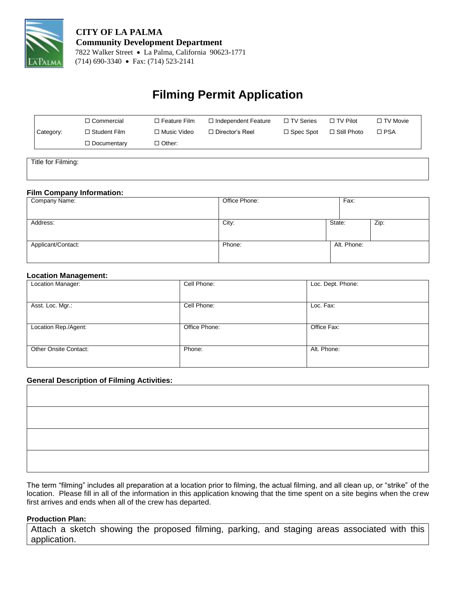

# **Filming Permit Application**

|           | $\Box$ Commercial   | $\Box$ Feature Film | □ Independent Feature  | $\Box$ TV Series | $\Box$ TV Pilot    | $\Box$ TV Movie |
|-----------|---------------------|---------------------|------------------------|------------------|--------------------|-----------------|
| Category: | $\Box$ Student Film | $\Box$ Music Video  | $\Box$ Director's Reel | $\Box$ Spec Spot | $\Box$ Still Photo | $\Box$ PSA      |
|           | $\Box$ Documentary  | $\Box$ Other:       |                        |                  |                    |                 |

Title for Filming:

#### **Film Company Information:**

| -<br>Company Name: | Office Phone: | Fax:        |      |
|--------------------|---------------|-------------|------|
| Address:           | City:         | State:      | Zip: |
| Applicant/Contact: | Phone:        | Alt. Phone: |      |

#### **Location Management:**

| . .                          |               |                   |
|------------------------------|---------------|-------------------|
| Location Manager:            | Cell Phone:   | Loc. Dept. Phone: |
|                              |               |                   |
| Asst. Loc. Mgr.:             | Cell Phone:   | Loc. Fax:         |
|                              |               |                   |
| Location Rep./Agent:         | Office Phone: | Office Fax:       |
|                              |               |                   |
| <b>Other Onsite Contact:</b> | Phone:        | Alt. Phone:       |
|                              |               |                   |

#### **General Description of Filming Activities:**

The term "filming" includes all preparation at a location prior to filming, the actual filming, and all clean up, or "strike" of the location. Please fill in all of the information in this application knowing that the time spent on a site begins when the crew first arrives and ends when all of the crew has departed.

#### **Production Plan:**

Attach a sketch showing the proposed filming, parking, and staging areas associated with this application.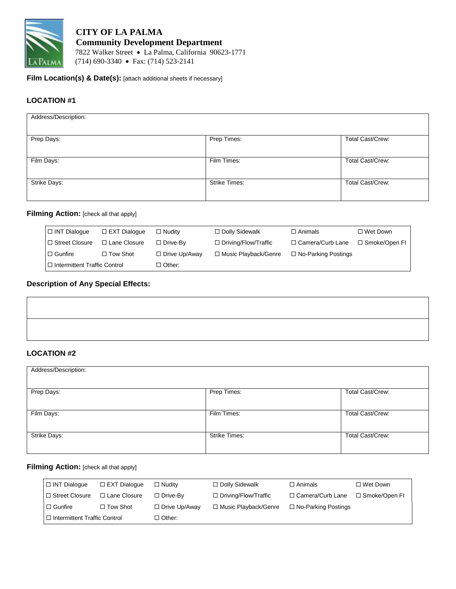

 **CITY OF LA PALMA Community Development Department** 7822 Walker Street La Palma, California 90623-1771  $\overline{ARAMA}$  (714) 690-3340 • Fax: (714) 523-2141

**Film Location(s) & Date(s):** [attach additional sheets if necessary]

## **LOCATION #1**

| Address/Description: |                      |                         |
|----------------------|----------------------|-------------------------|
| Prep Days:           | Prep Times:          | Total Cast/Crew:        |
| Film Days:           | Film Times:          | <b>Total Cast/Crew:</b> |
| Strike Days:         | <b>Strike Times:</b> | <b>Total Cast/Crew:</b> |
|                      |                      |                         |

## **Filming Action:** [check all that apply]

| $\Box$ INT Dialogue              | $\Box$ EXT Dialogue | $\Box$ Nudity        | $\Box$ Dolly Sidewalk       | $\Box$ Animals             | $\square$ Wet Down |
|----------------------------------|---------------------|----------------------|-----------------------------|----------------------------|--------------------|
| I □ Street Closure               | $\Box$ Lane Closure | $\Box$ Drive-Bv      | $\Box$ Driving/Flow/Traffic | □ Camera/Curb Lane         | □ Smoke/Open FI    |
| $\Box$ Gunfire                   | $\Box$ Tow Shot     | $\Box$ Drive Up/Away | □ Music Playback/Genre      | $\Box$ No-Parking Postings |                    |
| l □ Intermittent Traffic Control |                     | □ Other:             |                             |                            |                    |

#### **Description of Any Special Effects:**

## **LOCATION #2**

| Address/Description: |                      |                         |
|----------------------|----------------------|-------------------------|
|                      |                      |                         |
|                      |                      |                         |
|                      |                      |                         |
|                      |                      |                         |
| Prep Days:           | Prep Times:          | Total Cast/Crew:        |
|                      |                      |                         |
|                      |                      |                         |
|                      |                      |                         |
| Film Days:           | Film Times:          | <b>Total Cast/Crew:</b> |
|                      |                      |                         |
|                      |                      |                         |
|                      |                      |                         |
|                      | <b>Strike Times:</b> | <b>Total Cast/Crew:</b> |
| Strike Days:         |                      |                         |
|                      |                      |                         |
|                      |                      |                         |
|                      |                      |                         |

## **Filming Action:** [check all that apply]

| $\Box$ INT Dialogue              | $\Box$ EXT Dialogue | $\Box$ Nudity        | $\Box$ Dolly Sidewalk       | $\Box$ Animals             | □ Wet Down      |
|----------------------------------|---------------------|----------------------|-----------------------------|----------------------------|-----------------|
| □ Street Closure                 | □ Lane Closure      | $\Box$ Drive-By      | $\Box$ Driving/Flow/Traffic | □ Camera/Curb Lane         | □ Smoke/Open FI |
| $\Box$ Gunfire                   | $\Box$ Tow Shot     | $\Box$ Drive Up/Away | □ Music Playback/Genre      | $\Box$ No-Parking Postings |                 |
| I □ Intermittent Traffic Control |                     | $\Box$ Other:        |                             |                            |                 |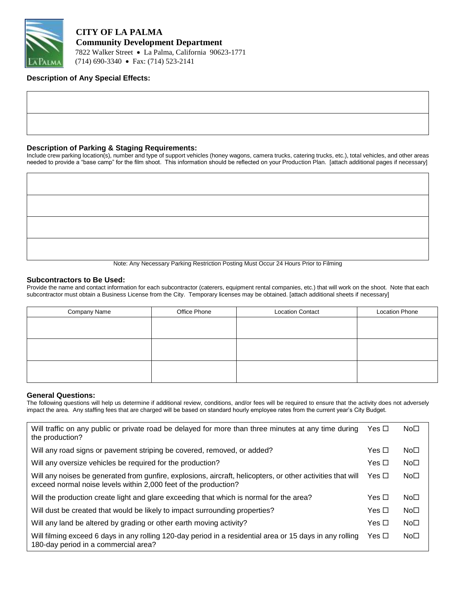

 **CITY OF LA PALMA Community Development Department** 7822 Walker Street La Palma, California 90623-1771 (714) 690-3340 Fax: (714) 523-2141

#### **Description of Any Special Effects:**

#### **Description of Parking & Staging Requirements:**

Include crew parking location(s), number and type of support vehicles (honey wagons, camera trucks, catering trucks, etc.), total vehicles, and other areas needed to provide a "base camp" for the film shoot. This information should be reflected on your Production Plan. [attach additional pages if necessary]

Note: Any Necessary Parking Restriction Posting Must Occur 24 Hours Prior to Filming

#### **Subcontractors to Be Used:**

Provide the name and contact information for each subcontractor (caterers, equipment rental companies, etc.) that will work on the shoot. Note that each subcontractor must obtain a Business License from the City. Temporary licenses may be obtained. [attach additional sheets if necessary]

| Company Name | Office Phone | <b>Location Contact</b> | <b>Location Phone</b> |
|--------------|--------------|-------------------------|-----------------------|
|              |              |                         |                       |
|              |              |                         |                       |
|              |              |                         |                       |
|              |              |                         |                       |
|              |              |                         |                       |
|              |              |                         |                       |

#### **General Questions:**

The following questions will help us determine if additional review, conditions, and/or fees will be required to ensure that the activity does not adversely impact the area. Any staffing fees that are charged will be based on standard hourly employee rates from the current year's City Budget.

| Will traffic on any public or private road be delayed for more than three minutes at any time during<br>the production?                                                        | Yes □ | No <sub>1</sub> |
|--------------------------------------------------------------------------------------------------------------------------------------------------------------------------------|-------|-----------------|
| Will any road signs or pavement striping be covered, removed, or added?                                                                                                        | Yes □ | No <sub>1</sub> |
| Will any oversize vehicles be required for the production?                                                                                                                     | Yes □ | No <sub>□</sub> |
| Will any noises be generated from gunfire, explosions, aircraft, helicopters, or other activities that will<br>exceed normal noise levels within 2,000 feet of the production? | Yes □ | No <sub>□</sub> |
| Will the production create light and glare exceeding that which is normal for the area?                                                                                        | Yes □ | No <sub>□</sub> |
| Will dust be created that would be likely to impact surrounding properties?                                                                                                    | Yes □ | No <sub>1</sub> |
| Will any land be altered by grading or other earth moving activity?                                                                                                            | Yes □ | No <sub>□</sub> |
| Will filming exceed 6 days in any rolling 120-day period in a residential area or 15 days in any rolling<br>180-day period in a commercial area?                               | Yes □ | No <sub>□</sub> |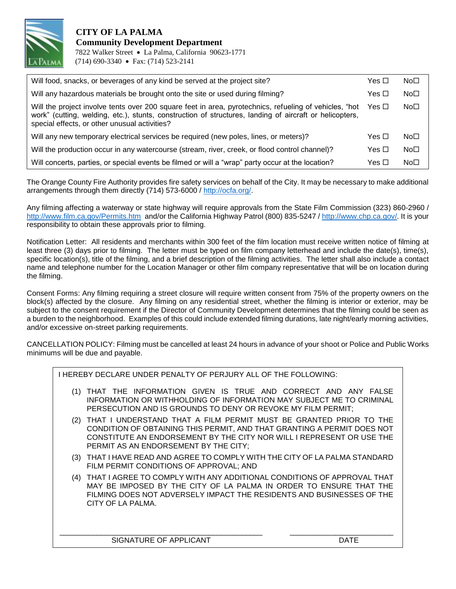

## **CITY OF LA PALMA Community Development Department** 7822 Walker Street La Palma, California 90623-1771 (714) 690-3340 Fax: (714) 523-2141

| Will food, snacks, or beverages of any kind be served at the project site?                                                                                                                                                                                         | Yes $\Box$ | No <sub>1</sub> |
|--------------------------------------------------------------------------------------------------------------------------------------------------------------------------------------------------------------------------------------------------------------------|------------|-----------------|
| Will any hazardous materials be brought onto the site or used during filming?                                                                                                                                                                                      | Yes $\Box$ | No <sub>1</sub> |
| Will the project involve tents over 200 square feet in area, pyrotechnics, refueling of vehicles, "hot<br>work" (cutting, welding, etc.), stunts, construction of structures, landing of aircraft or helicopters,<br>special effects, or other unusual activities? | Yes □      | No <sub>1</sub> |
| Will any new temporary electrical services be required (new poles, lines, or meters)?                                                                                                                                                                              | Yes $\Box$ | No <sub>1</sub> |
| Will the production occur in any watercourse (stream, river, creek, or flood control channel)?                                                                                                                                                                     | Yes $\Box$ | No <sub>1</sub> |
| Will concerts, parties, or special events be filmed or will a "wrap" party occur at the location?                                                                                                                                                                  | Yes □      | No <sub>1</sub> |

The Orange County Fire Authority provides fire safety services on behalf of the City. It may be necessary to make additional arrangements through them directly (714) 573-6000 / [http://ocfa.org/.](http://ocfa.org/)

Any filming affecting a waterway or state highway will require approvals from the State Film Commission (323) 860-2960 / <http://www.film.ca.gov/Permits.htm> and/or the California Highway Patrol (800) 835-5247 / [http://www.chp.ca.gov/.](http://www.chp.ca.gov/) It is your responsibility to obtain these approvals prior to filming.

Notification Letter: All residents and merchants within 300 feet of the film location must receive written notice of filming at least three (3) days prior to filming. The letter must be typed on film company letterhead and include the date(s), time(s), specific location(s), title of the filming, and a brief description of the filming activities. The letter shall also include a contact name and telephone number for the Location Manager or other film company representative that will be on location during the filming.

Consent Forms: Any filming requiring a street closure will require written consent from 75% of the property owners on the block(s) affected by the closure. Any filming on any residential street, whether the filming is interior or exterior, may be subject to the consent requirement if the Director of Community Development determines that the filming could be seen as a burden to the neighborhood. Examples of this could include extended filming durations, late night/early morning activities, and/or excessive on-street parking requirements.

CANCELLATION POLICY: Filming must be cancelled at least 24 hours in advance of your shoot or Police and Public Works minimums will be due and payable.

|     | I HEREBY DECLARE UNDER PENALTY OF PERJURY ALL OF THE FOLLOWING:                                                                                                                                                                                                    |             |
|-----|--------------------------------------------------------------------------------------------------------------------------------------------------------------------------------------------------------------------------------------------------------------------|-------------|
|     | (1) THAT THE INFORMATION GIVEN IS TRUE AND CORRECT AND ANY FALSE<br>INFORMATION OR WITHHOLDING OF INFORMATION MAY SUBJECT ME TO CRIMINAL<br>PERSECUTION AND IS GROUNDS TO DENY OR REVOKE MY FILM PERMIT;                                                           |             |
|     | (2) THAT I UNDERSTAND THAT A FILM PERMIT MUST BE GRANTED PRIOR TO THE<br>CONDITION OF OBTAINING THIS PERMIT, AND THAT GRANTING A PERMIT DOES NOT<br>CONSTITUTE AN ENDORSEMENT BY THE CITY NOR WILL I REPRESENT OR USE THE<br>PERMIT AS AN ENDORSEMENT BY THE CITY; |             |
|     | (3) THAT I HAVE READ AND AGREE TO COMPLY WITH THE CITY OF LA PALMA STANDARD<br>FILM PERMIT CONDITIONS OF APPROVAL; AND                                                                                                                                             |             |
| (4) | THAT I AGREE TO COMPLY WITH ANY ADDITIONAL CONDITIONS OF APPROVAL THAT<br>MAY BE IMPOSED BY THE CITY OF LA PALMA IN ORDER TO ENSURE THAT THE<br>FILMING DOES NOT ADVERSELY IMPACT THE RESIDENTS AND BUSINESSES OF THE<br>CITY OF LA PALMA.                         |             |
|     | SIGNATURE OF APPLICANT                                                                                                                                                                                                                                             | <b>DATE</b> |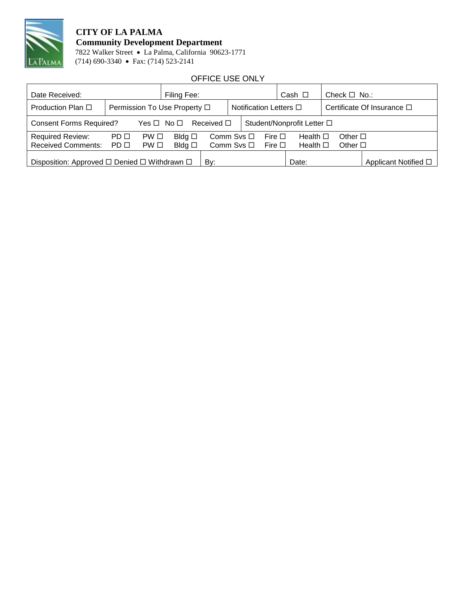

# **CITY OF LA PALMA Community Development Department**

 7822 Walker Street La Palma, California 90623-1771 PALMA (714) 690-3340 • Fax: (714) 523-2141

## OFFICE USE ONLY

| Date Received:                                                       |                              |                   | Filing Fee:                      |                               |                                    |  |                               | Cash $\Box$                          | Check $\Box$ No.:                  |                      |
|----------------------------------------------------------------------|------------------------------|-------------------|----------------------------------|-------------------------------|------------------------------------|--|-------------------------------|--------------------------------------|------------------------------------|----------------------|
| Production Plan □                                                    | Permission To Use Property □ |                   | Notification Letters $\Box$      |                               | Certificate Of Insurance $\square$ |  |                               |                                      |                                    |                      |
| <b>Consent Forms Required?</b><br>Yes $\Box$ No $\Box$               |                              |                   | Received $\square$               |                               |                                    |  | Student/Nonprofit Letter □    |                                      |                                    |                      |
| <b>Required Review:</b><br>Received Comments: PD □                   | PD <sub>□</sub>              | PW □<br>$PW \Box$ | Bldg $\square$<br>Bldg $\square$ | Comm Svs $\Box$<br>Comm Svs □ |                                    |  | Fire $\square$<br>Fire $\Box$ | Health $\square$<br>Health $\square$ | Other $\square$<br>Other $\square$ |                      |
| Disposition: Approved $\square$ Denied $\square$ Withdrawn $\square$ |                              |                   |                                  | Bv:                           |                                    |  |                               | Date:                                |                                    | Applicant Notified □ |